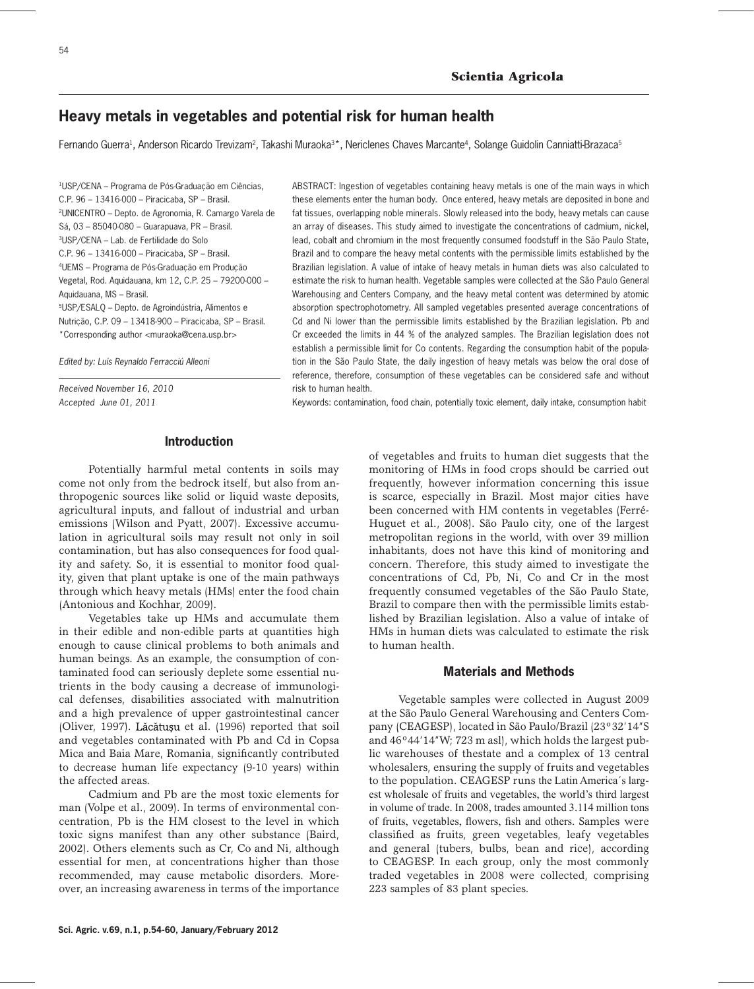# **Heavy metals in vegetables and potential risk for human health**

Fernando Guerra<sup>1</sup>, Anderson Ricardo Trevizam<sup>2</sup>, Takashi Muraoka<sup>3\*</sup>, Nericlenes Chaves Marcante<sup>4</sup>, Solange Guidolin Canniatti-Brazaca<sup>5</sup>

1USP/CENA – Programa de Pós-Graduação em Ciências, C.P. 96 – 13416-000 – Piracicaba, SP – Brasil. 2UNICENTRO – Depto. de Agronomia, R. Camargo Varela de Sá, 03 – 85040-080 – Guarapuava, PR – Brasil. 3USP/CENA – Lab. de Fertilidade do Solo C.P. 96 – 13416-000 – Piracicaba, SP – Brasil. 4UEMS – Programa de Pós-Graduação em Produção Vegetal, Rod. Aquidauana, km 12, C.P. 25 – 79200-000 – Aquidauana, MS – Brasil. 5USP/ESALQ – Depto. de Agroindústria, Alimentos e Nutrição, C.P. 09 – 13418-900 – Piracicaba, SP – Brasil. \*Corresponding author <muraoka@cena.usp.br>

*Edited by: Luís Reynaldo Ferracciú Alleoni*

*Received November 16, 2010 Accepted June 01, 2011*

ABSTRACT: Ingestion of vegetables containing heavy metals is one of the main ways in which these elements enter the human body. Once entered, heavy metals are deposited in bone and fat tissues, overlapping noble minerals. Slowly released into the body, heavy metals can cause an array of diseases. This study aimed to investigate the concentrations of cadmium, nickel, lead, cobalt and chromium in the most frequently consumed foodstuff in the São Paulo State, Brazil and to compare the heavy metal contents with the permissible limits established by the Brazilian legislation. A value of intake of heavy metals in human diets was also calculated to estimate the risk to human health. Vegetable samples were collected at the São Paulo General Warehousing and Centers Company, and the heavy metal content was determined by atomic absorption spectrophotometry. All sampled vegetables presented average concentrations of Cd and Ni lower than the permissible limits established by the Brazilian legislation. Pb and Cr exceeded the limits in 44 % of the analyzed samples. The Brazilian legislation does not establish a permissible limit for Co contents. Regarding the consumption habit of the population in the São Paulo State, the daily ingestion of heavy metals was below the oral dose of reference, therefore, consumption of these vegetables can be considered safe and without risk to human health.

Keywords: contamination, food chain, potentially toxic element, daily intake, consumption habit

### **Introduction**

Potentially harmful metal contents in soils may come not only from the bedrock itself, but also from anthropogenic sources like solid or liquid waste deposits, agricultural inputs, and fallout of industrial and urban emissions (Wilson and Pyatt, 2007). Excessive accumulation in agricultural soils may result not only in soil contamination, but has also consequences for food quality and safety. So, it is essential to monitor food quality, given that plant uptake is one of the main pathways through which heavy metals (HMs) enter the food chain (Antonious and Kochhar, 2009).

Vegetables take up HMs and accumulate them in their edible and non-edible parts at quantities high enough to cause clinical problems to both animals and human beings. As an example, the consumption of contaminated food can seriously deplete some essential nutrients in the body causing a decrease of immunological defenses, disabilities associated with malnutrition and a high prevalence of upper gastrointestinal cancer (Oliver, 1997). Lăcătușu et al. (1996) reported that soil and vegetables contaminated with Pb and Cd in Copsa Mica and Baia Mare, Romania, significantly contributed to decrease human life expectancy (9-10 years) within the affected areas.

Cadmium and Pb are the most toxic elements for man (Volpe et al., 2009). In terms of environmental concentration, Pb is the HM closest to the level in which toxic signs manifest than any other substance (Baird, 2002). Others elements such as Cr, Co and Ni, although essential for men, at concentrations higher than those recommended, may cause metabolic disorders. Moreover, an increasing awareness in terms of the importance of vegetables and fruits to human diet suggests that the monitoring of HMs in food crops should be carried out frequently, however information concerning this issue is scarce, especially in Brazil. Most major cities have been concerned with HM contents in vegetables (Ferré-Huguet et al., 2008). São Paulo city, one of the largest metropolitan regions in the world, with over 39 million inhabitants, does not have this kind of monitoring and concern. Therefore, this study aimed to investigate the concentrations of Cd, Pb, Ni, Co and Cr in the most frequently consumed vegetables of the São Paulo State, Brazil to compare then with the permissible limits established by Brazilian legislation. Also a value of intake of HMs in human diets was calculated to estimate the risk to human health.

## **Materials and Methods**

Vegetable samples were collected in August 2009 at the São Paulo General Warehousing and Centers Company (CEAGESP), located in São Paulo/Brazil (23º32'14"S and 46º44'14"W; 723 m asl), which holds the largest public warehouses of thestate and a complex of 13 central wholesalers, ensuring the supply of fruits and vegetables to the population. CEAGESP runs the Latin America´s largest wholesale of fruits and vegetables, the world's third largest in volume of trade. In 2008, trades amounted 3.114 million tons of fruits, vegetables, flowers, fish and others. Samples were classified as fruits, green vegetables, leafy vegetables and general (tubers, bulbs, bean and rice), according to CEAGESP. In each group, only the most commonly traded vegetables in 2008 were collected, comprising 223 samples of 83 plant species.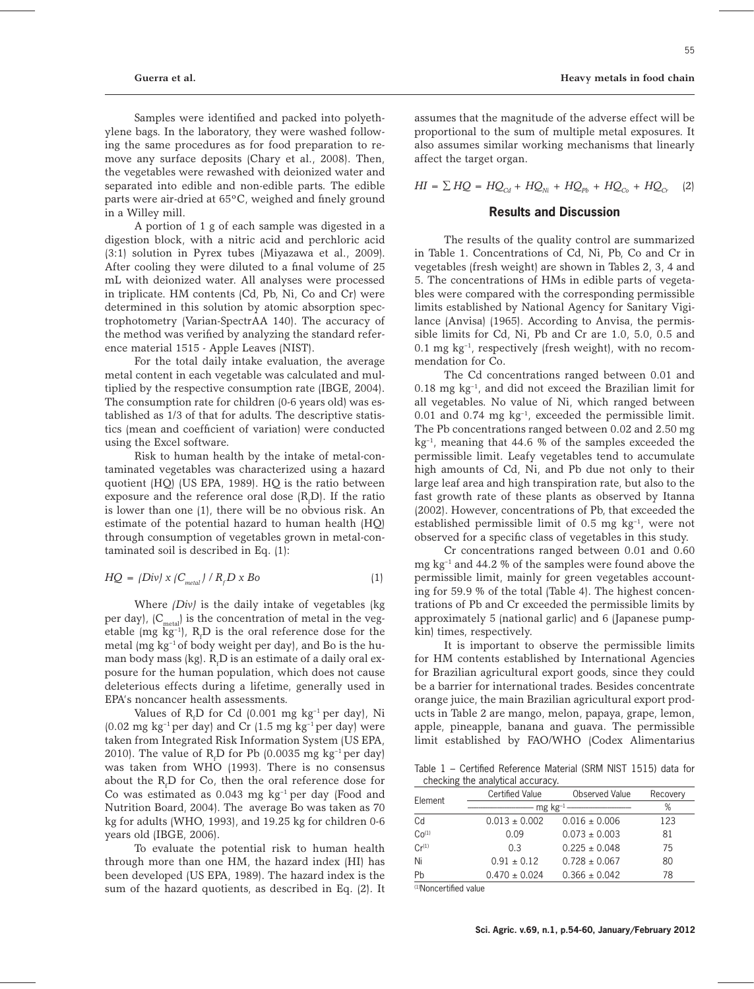Samples were identified and packed into polyethylene bags. In the laboratory, they were washed following the same procedures as for food preparation to remove any surface deposits (Chary et al., 2008). Then, the vegetables were rewashed with deionized water and separated into edible and non-edible parts. The edible parts were air-dried at 65ºC, weighed and finely ground in a Willey mill.

A portion of 1 g of each sample was digested in a digestion block, with a nitric acid and perchloric acid (3:1) solution in Pyrex tubes (Miyazawa et al., 2009). After cooling they were diluted to a final volume of 25 mL with deionized water. All analyses were processed in triplicate. HM contents (Cd, Pb, Ni, Co and Cr) were determined in this solution by atomic absorption spectrophotometry (Varian-SpectrAA 140). The accuracy of the method was verified by analyzing the standard reference material 1515 - Apple Leaves (NIST).

For the total daily intake evaluation, the average metal content in each vegetable was calculated and multiplied by the respective consumption rate (IBGE, 2004). The consumption rate for children (0-6 years old) was established as 1/3 of that for adults. The descriptive statistics (mean and coefficient of variation) were conducted using the Excel software.

Risk to human health by the intake of metal-contaminated vegetables was characterized using a hazard quotient (HQ) (US EPA, 1989). HQ is the ratio between exposure and the reference oral dose  $(R_fD)$ . If the ratio is lower than one (1), there will be no obvious risk. An estimate of the potential hazard to human health (HQ) through consumption of vegetables grown in metal-contaminated soil is described in Eq. (1):

$$
HQ = |Div| \times |C_{metal}| / R_{f} D \times Bo
$$
 (1)

Where *(Div)* is the daily intake of vegetables (kg per day),  $(C_{metal})$  is the concentration of metal in the vegetable (mg  $kg^{-1}$ ),  $R_f D$  is the oral reference dose for the metal (mg  $kg^{-1}$  of body weight per day), and Bo is the human body mass (kg).  $\mathrm{R}_{\mathrm{f}}\mathrm{D}$  is an estimate of a daily oral exposure for the human population, which does not cause deleterious effects during a lifetime, generally used in EPA's noncancer health assessments.

Values of  $R_f$ D for Cd (0.001 mg  $kg^{-1}$  per day), Ni  $(0.02 \text{ mg kg}^{-1})$  per day) and Cr  $(1.5 \text{ mg kg}^{-1})$  per day) were taken from Integrated Risk Information System (US EPA, 2010). The value of  $R_f D$  for Pb (0.0035 mg kg<sup>-1</sup> per day) was taken from WHO (1993). There is no consensus about the  $R_f$ D for Co, then the oral reference dose for Co was estimated as  $0.043$  mg  $kg^{-1}$  per day (Food and Nutrition Board, 2004). The average Bo was taken as 70 kg for adults (WHO, 1993), and 19.25 kg for children 0-6 years old (IBGE, 2006).

To evaluate the potential risk to human health through more than one HM, the hazard index (HI) has been developed (US EPA, 1989). The hazard index is the sum of the hazard quotients, as described in Eq. (2). It assumes that the magnitude of the adverse effect will be proportional to the sum of multiple metal exposures. It also assumes similar working mechanisms that linearly affect the target organ.

 $HI = \sum HQ = HQ_{Cd} + HQ_{Ni} + HQ_{Pb} + HQ_{Co} + HQ_{C}$  (2)

### **Results and Discussion**

The results of the quality control are summarized in Table 1. Concentrations of Cd, Ni, Pb, Co and Cr in vegetables (fresh weight) are shown in Tables 2, 3, 4 and 5. The concentrations of HMs in edible parts of vegetables were compared with the corresponding permissible limits established by National Agency for Sanitary Vigilance (Anvisa) (1965). According to Anvisa, the permissible limits for Cd, Ni, Pb and Cr are 1.0, 5.0, 0.5 and  $0.1$  mg kg<sup>-1</sup>, respectively (fresh weight), with no recommendation for Co.

The Cd concentrations ranged between 0.01 and  $0.18$  mg kg<sup>-1</sup>, and did not exceed the Brazilian limit for all vegetables. No value of Ni, which ranged between 0.01 and 0.74 mg  $kg^{-1}$ , exceeded the permissible limit. The Pb concentrations ranged between 0.02 and 2.50 mg  $kg^{-1}$ , meaning that 44.6 % of the samples exceeded the permissible limit. Leafy vegetables tend to accumulate high amounts of Cd, Ni, and Pb due not only to their large leaf area and high transpiration rate, but also to the fast growth rate of these plants as observed by Itanna (2002). However, concentrations of Pb, that exceeded the established permissible limit of  $0.5$  mg kg $^{-1}$ , were not observed for a specific class of vegetables in this study.

Cr concentrations ranged between 0.01 and 0.60 mg kg–1 and 44.2 % of the samples were found above the permissible limit, mainly for green vegetables accounting for 59.9 % of the total (Table 4). The highest concentrations of Pb and Cr exceeded the permissible limits by approximately 5 (national garlic) and 6 (Japanese pumpkin) times, respectively.

It is important to observe the permissible limits for HM contents established by International Agencies for Brazilian agricultural export goods, since they could be a barrier for international trades. Besides concentrate orange juice, the main Brazilian agricultural export products in Table 2 are mango, melon, papaya, grape, lemon, apple, pineapple, banana and guava. The permissible limit established by FAO/WHO (Codex Alimentarius

Table 1 – Certified Reference Material (SRM NIST 1515) data for checking the analytical accuracy.

| Element           | <b>Certified Value</b> | Observed Value    | Recovery |
|-------------------|------------------------|-------------------|----------|
|                   |                        | %                 |          |
| Cd                | $0.013 \pm 0.002$      | $0.016 \pm 0.006$ | 123      |
| Co <sup>(1)</sup> | 0.09                   | $0.073 \pm 0.003$ | 81       |
| $Cr^{(1)}$        | 0.3                    | $0.225 \pm 0.048$ | 75       |
| Ni                | $0.91 \pm 0.12$        | $0.728 \pm 0.067$ | 80       |
| Pb                | $0.470 \pm 0.024$      | $0.366 \pm 0.042$ | 78       |

(1)Noncertified value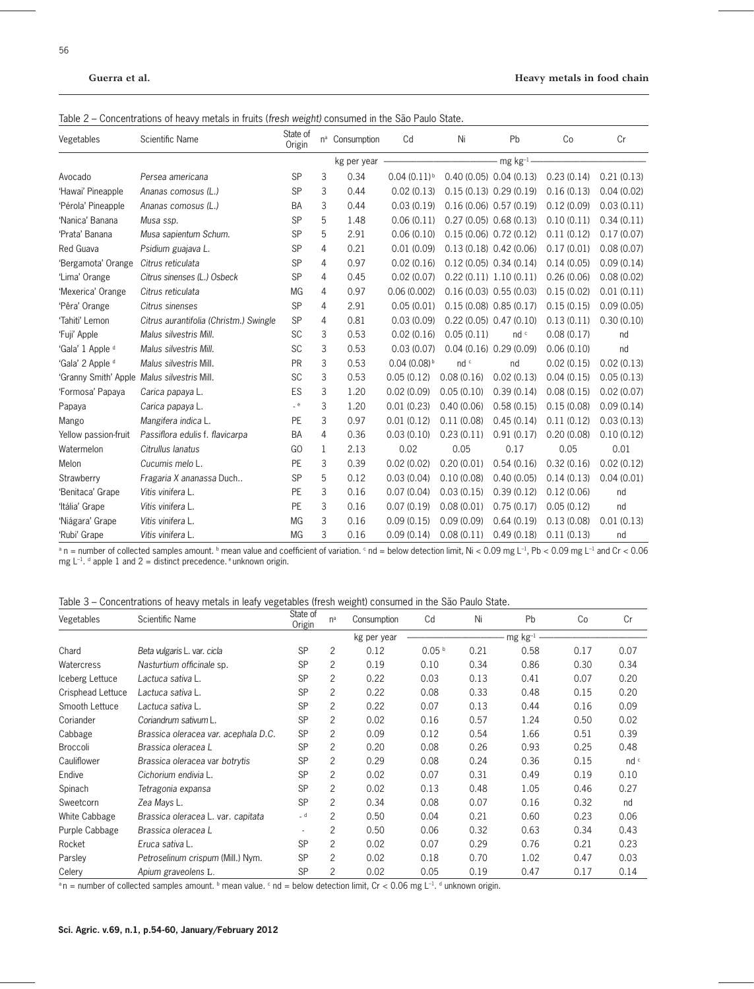| Table 2 – Concentrations of heavy metals in fruits (fresh weight) consumed in the São Paulo State. |  |  |  |
|----------------------------------------------------------------------------------------------------|--|--|--|
|----------------------------------------------------------------------------------------------------|--|--|--|

| Vegetables           | Scientific Name                        | State of<br>Origin | $n^a$ | Consumption | Cd               | Ni                        | Pb                      | Co         | Cr         |
|----------------------|----------------------------------------|--------------------|-------|-------------|------------------|---------------------------|-------------------------|------------|------------|
|                      |                                        |                    |       | kg per year |                  |                           | $mg$ kg <sup>-1</sup> . |            |            |
| Avocado              | Persea americana                       | <b>SP</b>          | 3     | 0.34        | $0.04(0.11)^{b}$ | $0.40(0.05)$ $0.04(0.13)$ |                         | 0.23(0.14) | 0.21(0.13) |
| 'Hawai' Pineapple    | Ananas comosus (L.)                    | SP                 | 3     | 0.44        | 0.02(0.13)       | 0.15(0.13) 0.29(0.19)     |                         | 0.16(0.13) | 0.04(0.02) |
| 'Pérola' Pineapple   | Ananas comosus (L.)                    | <b>BA</b>          | 3     | 0.44        | 0.03(0.19)       | 0.16(0.06) 0.57(0.19)     |                         | 0.12(0.09) | 0.03(0.11) |
| 'Nanica' Banana      | Musa ssp.                              | SP                 | 5     | 1.48        | 0.06(0.11)       | $0.27(0.05)$ $0.68(0.13)$ |                         | 0.10(0.11) | 0.34(0.11) |
| 'Prata' Banana       | Musa sapientum Schum.                  | <b>SP</b>          | 5     | 2.91        | 0.06(0.10)       | $0.15(0.06)$ $0.72(0.12)$ |                         | 0.11(0.12) | 0.17(0.07) |
| Red Guava            | Psidium guajava L.                     | SP                 | 4     | 0.21        | 0.01(0.09)       | 0.13(0.18) 0.42(0.06)     |                         | 0.17(0.01) | 0.08(0.07) |
| 'Bergamota' Orange   | Citrus reticulata                      | SP                 | 4     | 0.97        | 0.02(0.16)       | $0.12(0.05)$ $0.34(0.14)$ |                         | 0.14(0.05) | 0.09(0.14) |
| 'Lima' Orange        | Citrus sinenses (L.) Osbeck            | SP                 | 4     | 0.45        | 0.02(0.07)       | 0.22(0.11) 1.10(0.11)     |                         | 0.26(0.06) | 0.08(0.02) |
| 'Mexerica' Orange    | Citrus reticulata                      | <b>MG</b>          | 4     | 0.97        | 0.06(0.002)      | $0.16(0.03)$ $0.55(0.03)$ |                         | 0.15(0.02) | 0.01(0.11) |
| 'Pêra' Orange        | Citrus sinenses                        | SP                 | 4     | 2.91        | 0.05(0.01)       | 0.15(0.08) 0.85(0.17)     |                         | 0.15(0.15) | 0.09(0.05) |
| 'Tahiti' Lemon       | Citrus aurantifolia (Christm.) Swingle | SP                 | 4     | 0.81        | 0.03(0.09)       | $0.22(0.05)$ $0.47(0.10)$ |                         | 0.13(0.11) | 0.30(0.10) |
| 'Fuji' Apple         | Malus silvestris Mill.                 | <b>SC</b>          | 3     | 0.53        | 0.02(0.16)       | 0.05(0.11)                | nd c                    | 0.08(0.17) | nd         |
| 'Gala' 1 Apple d     | Malus silvestris Mill.                 | SC                 | 3     | 0.53        | 0.03(0.07)       | 0.04(0.16) 0.29(0.09)     |                         | 0.06(0.10) | nd         |
| 'Gala' 2 Apple d     | Malus silvestris Mill.                 | PR                 | 3     | 0.53        | $0.04(0.08)^{b}$ | nd c                      | nd                      | 0.02(0.15) | 0.02(0.13) |
| 'Granny Smith' Apple | Malus silvestris Mill.                 | SC                 | 3     | 0.53        | 0.05(0.12)       | 0.08(0.16)                | 0.02(0.13)              | 0.04(0.15) | 0.05(0.13) |
| 'Formosa' Papaya     | Carica papaya L.                       | ES                 | 3     | 1.20        | 0.02(0.09)       | 0.05(0.10)                | 0.39(0.14)              | 0.08(0.15) | 0.02(0.07) |
| Papaya               | Carica papaya L.                       | $-$ e              | 3     | 1.20        | 0.01(0.23)       | 0.40(0.06)                | 0.58(0.15)              | 0.15(0.08) | 0.09(0.14) |
| Mango                | Mangifera indica L.                    | PE                 | 3     | 0.97        | 0.01(0.12)       | 0.11(0.08)                | 0.45(0.14)              | 0.11(0.12) | 0.03(0.13) |
| Yellow passion-fruit | Passiflora edulis f. flavicarpa        | BA                 | 4     | 0.36        | 0.03(0.10)       | 0.23(0.11)                | 0.91(0.17)              | 0.20(0.08) | 0.10(0.12) |
| Watermelon           | Citrullus lanatus                      | G <sub>O</sub>     | 1     | 2.13        | 0.02             | 0.05                      | 0.17                    | 0.05       | 0.01       |
| Melon                | Cucumis melo L.                        | PE                 | 3     | 0.39        | 0.02(0.02)       | 0.20(0.01)                | 0.54(0.16)              | 0.32(0.16) | 0.02(0.12) |
| Strawberry           | Fragaria X ananassa Duch               | SP                 | 5     | 0.12        | 0.03(0.04)       | 0.10(0.08)                | 0.40(0.05)              | 0.14(0.13) | 0.04(0.01) |
| 'Benitaca' Grape     | Vitis vinifera L.                      | PE                 | 3     | 0.16        | 0.07(0.04)       | 0.03(0.15)                | 0.39(0.12)              | 0.12(0.06) | nd         |
| 'Itália' Grape       | Vitis vinifera L.                      | PE                 | 3     | 0.16        | 0.07(0.19)       | 0.08(0.01)                | 0.75(0.17)              | 0.05(0.12) | nd         |
| 'Niágara' Grape      | Vitis vinifera L.                      | MG                 | 3     | 0.16        | 0.09(0.15)       | 0.09(0.09)                | 0.64(0.19)              | 0.13(0.08) | 0.01(0.13) |
| 'Rubi' Grape         | Vitis vinifera L.                      | MG                 | 3     | 0.16        | 0.09(0.14)       | 0.08(0.11)                | 0.49(0.18)              | 0.11(0.13) | nd         |

 $^{\text{a}}$  n = number of collected samples amount.  $^{\text{b}}$  mean value and coefficient of variation.  $^{\text{c}}$  nd = below detection limit, Ni < 0.09 mg L<sup>-1</sup>, Pb < 0.09 mg L<sup>-1</sup> and Cr < 0.06 mg  $L^{-1}$ . d apple 1 and 2 = distinct precedence. eunknown origin.

Table 3 – Concentrations of heavy metals in leafy vegetables (fresh weight) consumed in the São Paulo State.

| Vegetables        | Scientific Name                      | State of<br>Origin | $n^a$          | Consumption | Cd                | Ni   | Pb                    | Co   | Cr   |
|-------------------|--------------------------------------|--------------------|----------------|-------------|-------------------|------|-----------------------|------|------|
|                   |                                      |                    |                | kg per year |                   |      | $mg$ kg <sup>-1</sup> |      |      |
| Chard             | Beta vulgaris L. var. cicla          | <b>SP</b>          | 2              | 0.12        | 0.05 <sup>b</sup> | 0.21 | 0.58                  | 0.17 | 0.07 |
| Watercress        | Nasturtium officinale sp.            | <b>SP</b>          | 2              | 0.19        | 0.10              | 0.34 | 0.86                  | 0.30 | 0.34 |
| Iceberg Lettuce   | Lactuca sativa L.                    | <b>SP</b>          | 2              | 0.22        | 0.03              | 0.13 | 0.41                  | 0.07 | 0.20 |
| Crisphead Lettuce | Lactuca sativa L.                    | <b>SP</b>          | $\overline{2}$ | 0.22        | 0.08              | 0.33 | 0.48                  | 0.15 | 0.20 |
| Smooth Lettuce    | Lactuca sativa L.                    | SP                 | 2              | 0.22        | 0.07              | 0.13 | 0.44                  | 0.16 | 0.09 |
| Coriander         | Coriandrum sativum L.                | <b>SP</b>          | 2              | 0.02        | 0.16              | 0.57 | 1.24                  | 0.50 | 0.02 |
| Cabbage           | Brassica oleracea var. acephala D.C. | <b>SP</b>          | 2              | 0.09        | 0.12              | 0.54 | 1.66                  | 0.51 | 0.39 |
| Broccoli          | Brassica oleracea L                  | <b>SP</b>          | $\overline{c}$ | 0.20        | 0.08              | 0.26 | 0.93                  | 0.25 | 0.48 |
| Cauliflower       | Brassica oleracea var botrytis       | <b>SP</b>          | 2              | 0.29        | 0.08              | 0.24 | 0.36                  | 0.15 | nd c |
| Endive            | Cichorium endivia L.                 | <b>SP</b>          | 2              | 0.02        | 0.07              | 0.31 | 0.49                  | 0.19 | 0.10 |
| Spinach           | Tetragonia expansa                   | <b>SP</b>          | 2              | 0.02        | 0.13              | 0.48 | 1.05                  | 0.46 | 0.27 |
| Sweetcorn         | Zea Mays L.                          | <b>SP</b>          | 2              | 0.34        | 0.08              | 0.07 | 0.16                  | 0.32 | nd   |
| White Cabbage     | Brassica oleracea L. var. capitata   | $-d$               | 2              | 0.50        | 0.04              | 0.21 | 0.60                  | 0.23 | 0.06 |
| Purple Cabbage    | Brassica oleracea L                  |                    | 2              | 0.50        | 0.06              | 0.32 | 0.63                  | 0.34 | 0.43 |
| Rocket            | Eruca sativa L.                      | <b>SP</b>          | 2              | 0.02        | 0.07              | 0.29 | 0.76                  | 0.21 | 0.23 |
| Parsley           | Petroselinum crispum (Mill.) Nym.    | SP                 | 2              | 0.02        | 0.18              | 0.70 | 1.02                  | 0.47 | 0.03 |
| Celery            | Apium graveolens L.                  | SP                 | 2              | 0.02        | 0.05              | 0.19 | 0.47                  | 0.17 | 0.14 |

<sup>a</sup>n = number of collected samples amount. <sup>b</sup> mean value.  $\cdot$  nd = below detection limit, Cr < 0.06 mg L<sup>-1</sup>. <sup>d</sup> unknown origin.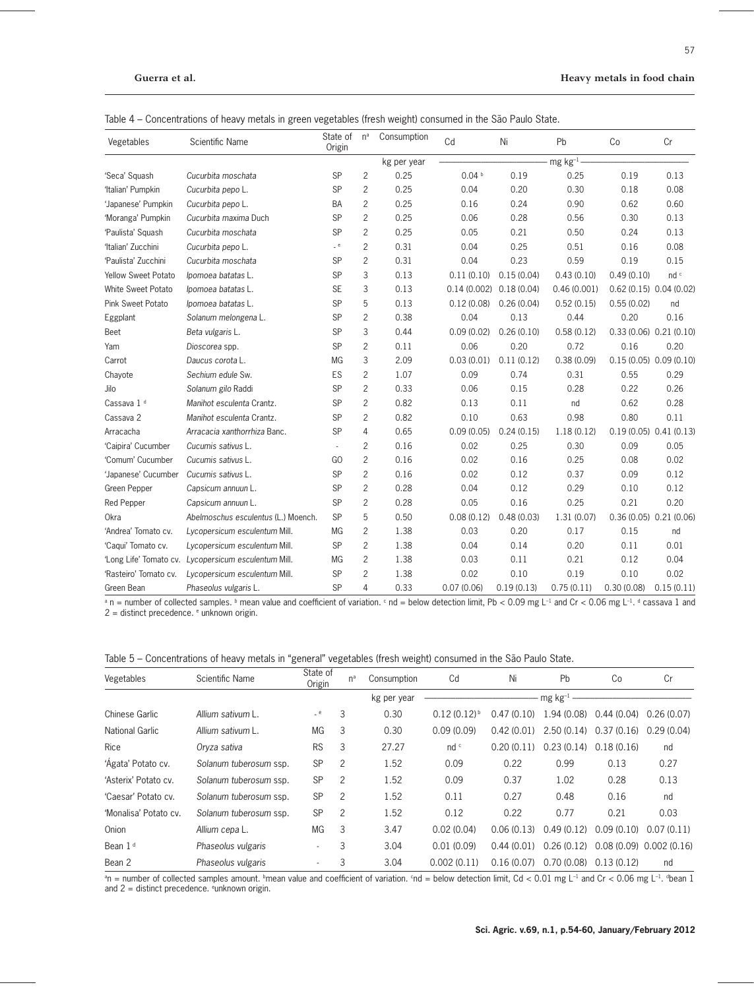| Vegetables                 | Scientific Name                     | State of n <sup>a</sup><br>Origin |                | Consumption | Cd                | Ni         | Pb            | Co         | Cr                        |
|----------------------------|-------------------------------------|-----------------------------------|----------------|-------------|-------------------|------------|---------------|------------|---------------------------|
|                            |                                     |                                   |                | kg per year |                   |            | - mg $kg-1$ - |            |                           |
| 'Seca' Squash              | Cucurbita moschata                  | <b>SP</b>                         | $\overline{2}$ | 0.25        | 0.04 <sup>b</sup> | 0.19       | 0.25          | 0.19       | 0.13                      |
| 'Italian' Pumpkin          | Cucurbita pepo L.                   | SP                                | $\overline{2}$ | 0.25        | 0.04              | 0.20       | 0.30          | 0.18       | 0.08                      |
| 'Japanese' Pumpkin         | Cucurbita pepo L.                   | <b>BA</b>                         | $\overline{2}$ | 0.25        | 0.16              | 0.24       | 0.90          | 0.62       | 0.60                      |
| 'Moranga' Pumpkin          | Cucurbita maxima Duch               | <b>SP</b>                         | $\overline{2}$ | 0.25        | 0.06              | 0.28       | 0.56          | 0.30       | 0.13                      |
| 'Paulista' Squash          | Cucurbita moschata                  | <b>SP</b>                         | $\overline{c}$ | 0.25        | 0.05              | 0.21       | 0.50          | 0.24       | 0.13                      |
| 'Italian' Zucchini         | Cucurbita pepo L.                   | e                                 | $\overline{c}$ | 0.31        | 0.04              | 0.25       | 0.51          | 0.16       | 0.08                      |
| 'Paulista' Zucchini        | Cucurbita moschata                  | SP                                | $\overline{c}$ | 0.31        | 0.04              | 0.23       | 0.59          | 0.19       | 0.15                      |
| <b>Yellow Sweet Potato</b> | Ipomoea batatas L.                  | <b>SP</b>                         | 3              | 0.13        | 0.11(0.10)        | 0.15(0.04) | 0.43(0.10)    | 0.49(0.10) | nd c                      |
| White Sweet Potato         | Ipomoea batatas L.                  | <b>SE</b>                         | 3              | 0.13        | 0.14(0.002)       | 0.18(0.04) | 0.46(0.001)   |            | $0.62(0.15)$ $0.04(0.02)$ |
| Pink Sweet Potato          | Ipomoea batatas L.                  | SP                                | 5              | 0.13        | 0.12(0.08)        | 0.26(0.04) | 0.52(0.15)    | 0.55(0.02) | nd                        |
| Eggplant                   | Solanum melongena L.                | <b>SP</b>                         | $\overline{c}$ | 0.38        | 0.04              | 0.13       | 0.44          | 0.20       | 0.16                      |
| Beet                       | Beta vulgaris L.                    | SP                                | 3              | 0.44        | 0.09(0.02)        | 0.26(0.10) | 0.58(0.12)    |            | 0.33(0.06) 0.21(0.10)     |
| Yam                        | Dioscorea spp.                      | <b>SP</b>                         | $\overline{c}$ | 0.11        | 0.06              | 0.20       | 0.72          | 0.16       | 0.20                      |
| Carrot                     | Daucus corota L.                    | MG                                | 3              | 2.09        | 0.03(0.01)        | 0.11(0.12) | 0.38(0.09)    |            | 0.15(0.05) 0.09(0.10)     |
| Chayote                    | Sechium edule Sw.                   | ES                                | $\overline{c}$ | 1.07        | 0.09              | 0.74       | 0.31          | 0.55       | 0.29                      |
| Jilo                       | Solanum gilo Raddi                  | SP                                | $\overline{c}$ | 0.33        | 0.06              | 0.15       | 0.28          | 0.22       | 0.26                      |
| Cassava 1 <sup>d</sup>     | Manihot esculenta Crantz.           | <b>SP</b>                         | $\overline{c}$ | 0.82        | 0.13              | 0.11       | nd            | 0.62       | 0.28                      |
| Cassava 2                  | Manihot esculenta Crantz.           | SP                                | $\overline{c}$ | 0.82        | 0.10              | 0.63       | 0.98          | 0.80       | 0.11                      |
| Arracacha                  | Arracacia xanthorrhiza Banc.        | SP                                | 4              | 0.65        | 0.09(0.05)        | 0.24(0.15) | 1.18(0.12)    |            | 0.19(0.05) 0.41(0.13)     |
| 'Caipira' Cucumber         | Cucumis sativus L.                  |                                   | 2              | 0.16        | 0.02              | 0.25       | 0.30          | 0.09       | 0.05                      |
| 'Comum' Cucumber           | Cucumis sativus L.                  | GO                                | $\overline{c}$ | 0.16        | 0.02              | 0.16       | 0.25          | 0.08       | 0.02                      |
| 'Japanese' Cucumber        | Cucumis sativus L.                  | <b>SP</b>                         | $\overline{c}$ | 0.16        | 0.02              | 0.12       | 0.37          | 0.09       | 0.12                      |
| Green Pepper               | Capsicum annuun L.                  | <b>SP</b>                         | $\overline{c}$ | 0.28        | 0.04              | 0.12       | 0.29          | 0.10       | 0.12                      |
| <b>Red Pepper</b>          | Capsicum annuun L.                  | SP                                | $\overline{c}$ | 0.28        | 0.05              | 0.16       | 0.25          | 0.21       | 0.20                      |
| <b>Okra</b>                | Abelmoschus esculentus (L.) Moench. | SP                                | 5              | 0.50        | 0.08(0.12)        | 0.48(0.03) | 1.31(0.07)    |            | $0.36(0.05)$ $0.21(0.06)$ |
| 'Andrea' Tomato cv.        | Lycopersicum esculentum Mill.       | MG                                | $\overline{c}$ | 1.38        | 0.03              | 0.20       | 0.17          | 0.15       | nd                        |
| 'Caqui' Tomato cv.         | Lycopersicum esculentum Mill.       | <b>SP</b>                         | $\overline{2}$ | 1.38        | 0.04              | 0.14       | 0.20          | 0.11       | 0.01                      |
| 'Long Life' Tomato cv.     | Lycopersicum esculentum Mill.       | МG                                | $\overline{2}$ | 1.38        | 0.03              | 0.11       | 0.21          | 0.12       | 0.04                      |
| 'Rasteiro' Tomato cv.      | Lycopersicum esculentum Mill.       | <b>SP</b>                         | $\overline{c}$ | 1.38        | 0.02              | 0.10       | 0.19          | 0.10       | 0.02                      |
| Green Bean                 | Phaseolus vulgaris L.               | SP                                | 4              | 0.33        | 0.07(0.06)        | 0.19(0.13) | 0.75(0.11)    | 0.30(0.08) | 0.15(0.11)                |

Table 4 – Concentrations of heavy metals in green vegetables (fresh weight) consumed in the São Paulo State.

<sup>a</sup> n = number of collected samples. <sup>b</sup> mean value and coefficient of variation.  $\cdot$  nd = below detection limit, Pb < 0.09 mg L<sup>-1</sup> and Cr < 0.06 mg L<sup>-1</sup>. d cassava 1 and 2 = distinct precedence. e unknown origin.

|  |  | Table 5 – Concentrations of heavy metals in "general" vegetables (fresh weight) consumed in the São Paulo State. |
|--|--|------------------------------------------------------------------------------------------------------------------|
|  |  |                                                                                                                  |

| Vegetables            | Scientific Name        | State of<br>Origin       | n <sup>a</sup> | Consumption | Cd                        | Ni         | Pb                       | Co         | Cr                         |
|-----------------------|------------------------|--------------------------|----------------|-------------|---------------------------|------------|--------------------------|------------|----------------------------|
|                       |                        |                          |                | kg per year |                           |            | $mg$ kg <sup>-1</sup>    |            |                            |
| Chinese Garlic        | Allium sativum L.      | $-$ e                    | 3              | 0.30        | $0.12(0.12)$ <sup>b</sup> | 0.47(0.10) | 1.94 (0.08)              | 0.44(0.04) | 0.26(0.07)                 |
| National Garlic       | Allium sativum L.      | МG                       | 3              | 0.30        | 0.09(0.09)                | 0.42(0.01) | $2.50(0.14)$ 0.37 (0.16) |            | 0.29(0.04)                 |
| Rice                  | Oryza sativa           | <b>RS</b>                | 3              | 27.27       | nd c                      | 0.20(0.11) | 0.23(0.14)               | 0.18(0.16) | nd                         |
| 'Agata' Potato cv.    | Solanum tuberosum ssp. | <b>SP</b>                | 2              | 1.52        | 0.09                      | 0.22       | 0.99                     | 0.13       | 0.27                       |
| 'Asterix' Potato cv.  | Solanum tuberosum ssp. | <b>SP</b>                | 2              | 1.52        | 0.09                      | 0.37       | 1.02                     | 0.28       | 0.13                       |
| 'Caesar' Potato cv.   | Solanum tuberosum ssp. | <b>SP</b>                | 2              | 1.52        | 0.11                      | 0.27       | 0.48                     | 0.16       | nd                         |
| 'Monalisa' Potato cv. | Solanum tuberosum ssp. | <b>SP</b>                | 2              | 1.52        | 0.12                      | 0.22       | 0.77                     | 0.21       | 0.03                       |
| Onion                 | Allium cepa L.         | МG                       | 3              | 3.47        | 0.02(0.04)                | 0.06(0.13) | 0.49(0.12)               | 0.09(0.10) | 0.07(0.11)                 |
| Bean 1 <sup>d</sup>   | Phaseolus vulgaris     |                          | 3              | 3.04        | 0.01(0.09)                | 0.44(0.01) | 0.26(0.12)               |            | $0.08(0.09)$ $0.002(0.16)$ |
| Bean 2                | Phaseolus vulgaris     | $\overline{\phantom{a}}$ | 3              | 3.04        | 0.002(0.11)               | 0.16(0.07) | 0.70(0.08)               | 0.13(0.12) | nd                         |

<sup>a</sup>n = number of collected samples amount. <sup>b</sup>mean value and coefficient of variation. Snd = below detection limit, Cd < 0.01 mg L<sup>-1</sup> and Cr < 0.06 mg L<sup>-1</sup>. <sup>d</sup>bean 1 and 2 = distinct precedence. e unknown origin.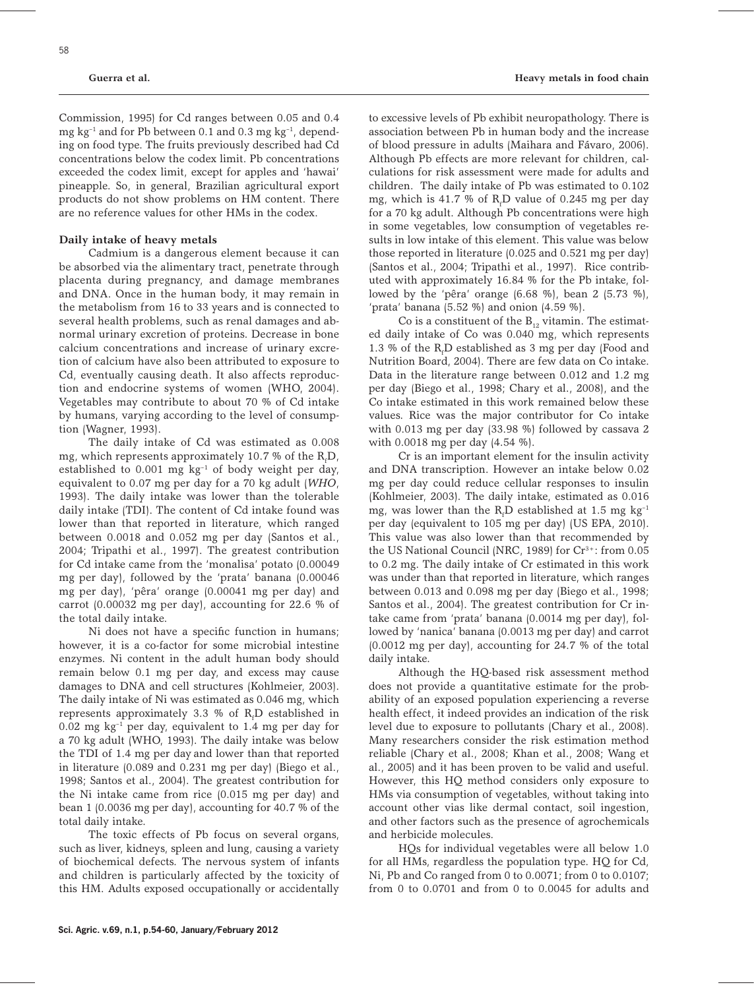Commission, 1995) for Cd ranges between 0.05 and 0.4 mg kg<sup>-1</sup> and for Pb between 0.1 and 0.3 mg kg<sup>-1</sup>, depending on food type. The fruits previously described had Cd concentrations below the codex limit. Pb concentrations exceeded the codex limit, except for apples and 'hawai' pineapple. So, in general, Brazilian agricultural export products do not show problems on HM content. There are no reference values for other HMs in the codex.

### **Daily intake of heavy metals**

Cadmium is a dangerous element because it can be absorbed via the alimentary tract, penetrate through placenta during pregnancy, and damage membranes and DNA. Once in the human body, it may remain in the metabolism from 16 to 33 years and is connected to several health problems, such as renal damages and abnormal urinary excretion of proteins. Decrease in bone calcium concentrations and increase of urinary excretion of calcium have also been attributed to exposure to Cd, eventually causing death. It also affects reproduction and endocrine systems of women (WHO, 2004). Vegetables may contribute to about 70 % of Cd intake by humans, varying according to the level of consumption (Wagner, 1993).

The daily intake of Cd was estimated as 0.008 mg, which represents approximately 10.7 % of the  $\rm R_{f}D_{c}$ established to  $0.001$  mg kg<sup>-1</sup> of body weight per day, equivalent to 0.07 mg per day for a 70 kg adult (*WHO*, 1993). The daily intake was lower than the tolerable daily intake (TDI). The content of Cd intake found was lower than that reported in literature, which ranged between 0.0018 and 0.052 mg per day (Santos et al., 2004; Tripathi et al., 1997). The greatest contribution for Cd intake came from the 'monalisa' potato (0.00049 mg per day), followed by the 'prata' banana (0.00046 mg per day), 'pêra' orange (0.00041 mg per day) and carrot (0.00032 mg per day), accounting for 22.6 % of the total daily intake.

Ni does not have a specific function in humans; however, it is a co-factor for some microbial intestine enzymes. Ni content in the adult human body should remain below 0.1 mg per day, and excess may cause damages to DNA and cell structures (Kohlmeier, 2003). The daily intake of Ni was estimated as 0.046 mg, which represents approximately 3.3 % of  $R_f$ D established in 0.02 mg kg–1 per day, equivalent to 1.4 mg per day for a 70 kg adult (WHO, 1993). The daily intake was below the TDI of 1.4 mg per day and lower than that reported in literature (0.089 and 0.231 mg per day) (Biego et al., 1998; Santos et al., 2004). The greatest contribution for the Ni intake came from rice (0.015 mg per day) and bean 1 (0.0036 mg per day), accounting for 40.7 % of the total daily intake.

The toxic effects of Pb focus on several organs, such as liver, kidneys, spleen and lung, causing a variety of biochemical defects. The nervous system of infants and children is particularly affected by the toxicity of this HM. Adults exposed occupationally or accidentally

to excessive levels of Pb exhibit neuropathology. There is association between Pb in human body and the increase of blood pressure in adults (Maihara and Fávaro, 2006). Although Pb effects are more relevant for children, calculations for risk assessment were made for adults and children. The daily intake of Pb was estimated to 0.102 mg, which is 41.7 % of  $R_fD$  value of 0.245 mg per day for a 70 kg adult. Although Pb concentrations were high in some vegetables, low consumption of vegetables results in low intake of this element. This value was below those reported in literature (0.025 and 0.521 mg per day) (Santos et al., 2004; Tripathi et al., 1997). Rice contributed with approximately 16.84 % for the Pb intake, followed by the 'pêra' orange (6.68 %), bean 2 (5.73 %), 'prata' banana (5.52 %) and onion (4.59 %).

Co is a constituent of the  $B_{12}$  vitamin. The estimated daily intake of Co was 0.040 mg, which represents 1.3 % of the  $R_f$ D established as 3 mg per day (Food and Nutrition Board, 2004). There are few data on Co intake. Data in the literature range between 0.012 and 1.2 mg per day (Biego et al., 1998; Chary et al., 2008), and the Co intake estimated in this work remained below these values. Rice was the major contributor for Co intake with 0.013 mg per day (33.98 %) followed by cassava 2 with 0.0018 mg per day (4.54 %).

Cr is an important element for the insulin activity and DNA transcription. However an intake below 0.02 mg per day could reduce cellular responses to insulin (Kohlmeier, 2003). The daily intake, estimated as 0.016 mg, was lower than the  $R_f D$  established at 1.5 mg  $kg^{-1}$ per day (equivalent to 105 mg per day) (US EPA, 2010). This value was also lower than that recommended by the US National Council (NRC, 1989) for Cr<sup>3+</sup>: from 0.05 to 0.2 mg. The daily intake of Cr estimated in this work was under than that reported in literature, which ranges between 0.013 and 0.098 mg per day (Biego et al., 1998; Santos et al., 2004). The greatest contribution for Cr intake came from 'prata' banana (0.0014 mg per day), followed by 'nanica' banana (0.0013 mg per day) and carrot (0.0012 mg per day), accounting for 24.7 % of the total daily intake.

Although the HQ-based risk assessment method does not provide a quantitative estimate for the probability of an exposed population experiencing a reverse health effect, it indeed provides an indication of the risk level due to exposure to pollutants (Chary et al., 2008). Many researchers consider the risk estimation method reliable (Chary et al., 2008; Khan et al., 2008; Wang et al., 2005) and it has been proven to be valid and useful. However, this HQ method considers only exposure to HMs via consumption of vegetables, without taking into account other vias like dermal contact, soil ingestion, and other factors such as the presence of agrochemicals and herbicide molecules.

HQs for individual vegetables were all below 1.0 for all HMs, regardless the population type. HQ for Cd, Ni, Pb and Co ranged from 0 to 0.0071; from 0 to 0.0107; from 0 to 0.0701 and from 0 to 0.0045 for adults and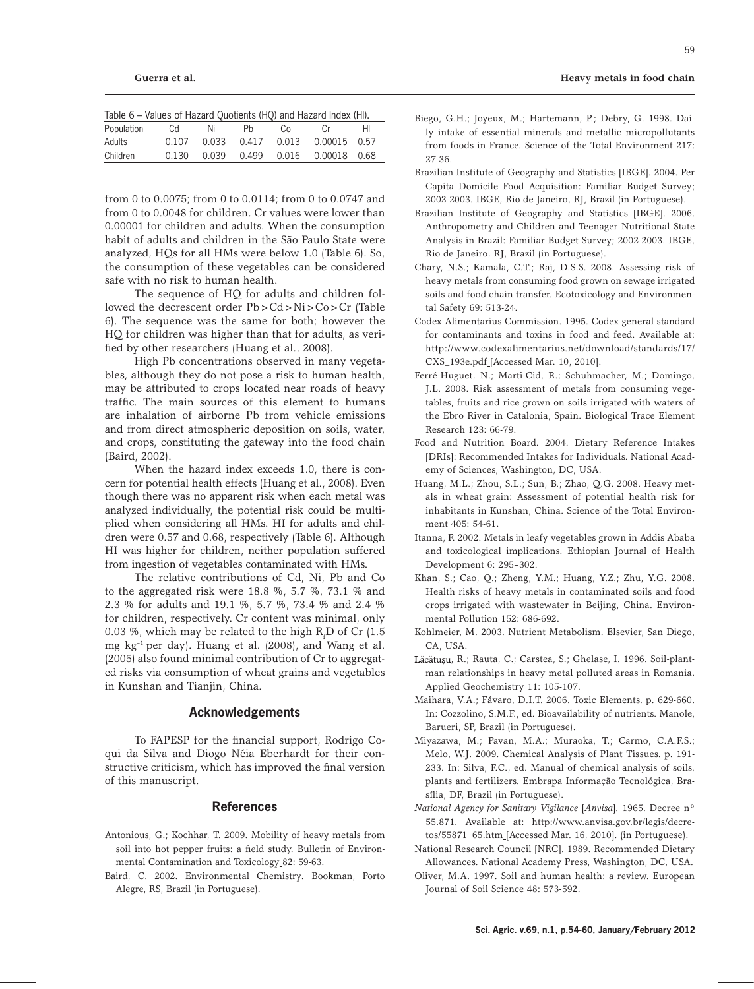| Table 6 – Values of Hazard Quotients (HQ) and Hazard Index (HI). |       |       |       |             |              |    |  |  |  |  |
|------------------------------------------------------------------|-------|-------|-------|-------------|--------------|----|--|--|--|--|
| Population                                                       | Cd    | Ni    | Ph    | Co.         | $C_{r}$      | HI |  |  |  |  |
| Adults                                                           | 0.107 | 0.033 | 0.417 | 0.013       | 0.00015 0.57 |    |  |  |  |  |
| Children                                                         | 0.130 | 0.039 |       | 0.499 0.016 | 0.00018 0.68 |    |  |  |  |  |

from 0 to 0.0075; from 0 to 0.0114; from 0 to 0.0747 and from 0 to 0.0048 for children. Cr values were lower than 0.00001 for children and adults. When the consumption habit of adults and children in the São Paulo State were analyzed, HQs for all HMs were below 1.0 (Table 6). So, the consumption of these vegetables can be considered safe with no risk to human health.

The sequence of HO for adults and children followed the decrescent order Pb>Cd>Ni>Co>Cr (Table 6). The sequence was the same for both; however the HQ for children was higher than that for adults, as verified by other researchers (Huang et al., 2008).

High Pb concentrations observed in many vegetables, although they do not pose a risk to human health, may be attributed to crops located near roads of heavy traffic. The main sources of this element to humans are inhalation of airborne Pb from vehicle emissions and from direct atmospheric deposition on soils, water, and crops, constituting the gateway into the food chain (Baird, 2002).

When the hazard index exceeds 1.0, there is concern for potential health effects (Huang et al., 2008). Even though there was no apparent risk when each metal was analyzed individually, the potential risk could be multiplied when considering all HMs. HI for adults and children were 0.57 and 0.68, respectively (Table 6). Although HI was higher for children, neither population suffered from ingestion of vegetables contaminated with HMs.

The relative contributions of Cd, Ni, Pb and Co to the aggregated risk were 18.8 %, 5.7 %, 73.1 % and 2.3 % for adults and 19.1 %, 5.7 %, 73.4 % and 2.4 % for children, respectively. Cr content was minimal, only 0.03 %, which may be related to the high  $R_f D$  of Cr (1.5 mg  $kg^{-1}$  per day). Huang et al. (2008), and Wang et al. (2005) also found minimal contribution of Cr to aggregated risks via consumption of wheat grains and vegetables in Kunshan and Tianjin, China.

### **Acknowledgements**

To FAPESP for the financial support, Rodrigo Coqui da Silva and Diogo Néia Eberhardt for their constructive criticism, which has improved the final version of this manuscript.

### **References**

- Antonious, G.; Kochhar, T. 2009. Mobility of heavy metals from soil into hot pepper fruits: a field study. Bulletin of Environmental Contamination and Toxicology 82: 59-63.
- Baird, C. 2002. Environmental Chemistry*.* Bookman, Porto Alegre, RS, Brazil (in Portuguese).

Brazilian Institute of Geography and Statistics [IBGE]. 2004. Per Capita Domicile Food Acquisition: Familiar Budget Survey; 2002-2003. IBGE, Rio de Janeiro, RJ, Brazil (in Portuguese).

27-36.

- Brazilian Institute of Geography and Statistics [IBGE]. 2006. Anthropometry and Children and Teenager Nutritional State Analysis in Brazil: Familiar Budget Survey; 2002-2003. IBGE, Rio de Janeiro, RJ, Brazil (in Portuguese).
- Chary, N.S.; Kamala, C.T.; Raj, D.S.S. 2008. Assessing risk of heavy metals from consuming food grown on sewage irrigated soils and food chain transfer. Ecotoxicology and Environmental Safety 69: 513-24.
- Codex Alimentarius Commission. 1995. Codex general standard for contaminants and toxins in food and feed. Available at: http://www.codexalimentarius.net/download/standards/17/ CXS\_193e.pdf [Accessed Mar. 10, 2010].
- Ferré-Huguet, N.; Marti-Cid, R.; Schuhmacher, M.; Domingo, J.L. 2008. Risk assessment of metals from consuming vegetables, fruits and rice grown on soils irrigated with waters of the Ebro River in Catalonia, Spain. Biological Trace Element Research 123: 66-79.
- Food and Nutrition Board. 2004. Dietary Reference Intakes [DRIs]: Recommended Intakes for Individuals. National Academy of Sciences, Washington, DC, USA.
- Huang, M.L.; Zhou, S.L.; Sun, B.; Zhao, Q.G. 2008. Heavy metals in wheat grain: Assessment of potential health risk for inhabitants in Kunshan, China. Science of the Total Environment 405: 54-61.
- Itanna, F. 2002. Metals in leafy vegetables grown in Addis Ababa and toxicological implications. Ethiopian Journal of Health Development 6: 295–302.
- Khan, S.; Cao, Q.; Zheng, Y.M.; Huang, Y.Z.; Zhu, Y.G. 2008. Health risks of heavy metals in contaminated soils and food crops irrigated with wastewater in Beijing, China. Environmental Pollution 152: 686-692.
- Kohlmeier, M. 2003. Nutrient Metabolism. Elsevier, San Diego, CA, USA.
- Lăcătușu, R.; Rauta, C.; Carstea, S.; Ghelase, I. 1996. Soil-plantman relationships in heavy metal polluted areas in Romania. Applied Geochemistry 11: 105-107.
- Maihara, V.A.; Fávaro, D.I.T. 2006. Toxic Elements. p. 629-660. In: Cozzolino, S.M.F., ed. Bioavailability of nutrients. Manole, Barueri, SP, Brazil (in Portuguese).
- Miyazawa, M.; Pavan, M.A.; Muraoka, T.; Carmo, C.A.F.S.; Melo, W.J. 2009. Chemical Analysis of Plant Tissues. p. 191- 233. In: Silva, F.C., ed. Manual of chemical analysis of soils, plants and fertilizers. Embrapa Informação Tecnológica, Brasília, DF, Brazil (in Portuguese).
- *National Agency for Sanitary Vigilance* [*Anvisa*]*.* 1965. Decree nº 55.871. Available at: http://www.anvisa.gov.br/legis/decretos/55871\_65.htm [Accessed Mar. 16, 2010]. (in Portuguese).
- National Research Council [NRC]. 1989. Recommended Dietary Allowances. National Academy Press, Washington, DC, USA.
- Oliver, M.A. 1997. Soil and human health: a review. European Journal of Soil Science 48: 573-592.